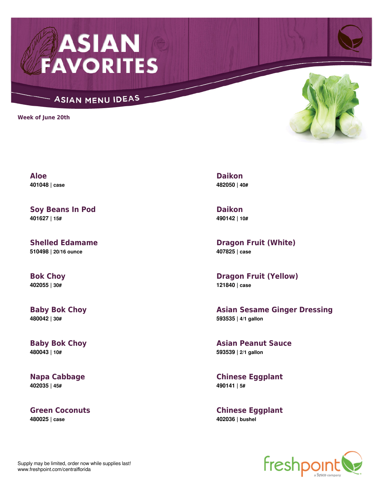

## ASIAN MENU IDEAS

**Week of June 20th**



**Aloe 401048 | case**

**Soy Beans In Pod 401627 | 15#**

**Shelled Edamame 510498 | 20/16 ounce**

**Bok Choy 402055 | 30#**

**Baby Bok Choy 480042 | 30#**

**Baby Bok Choy 480043 | 10#**

**Napa Cabbage 402035 | 45#**

**Green Coconuts 480025 | case**

**Daikon 482050 | 40#**

**Daikon 490142 | 10#**

**Dragon Fruit (White) 407825 | case**

**Dragon Fruit (Yellow) 121840 | case**

**Asian Sesame Ginger Dressing 593535 | 4/1 gallon**

**Asian Peanut Sauce 593539 | 2/1 gallon**

**Chinese Eggplant 490141 | 5#**

**Chinese Eggplant 402036 | bushel**